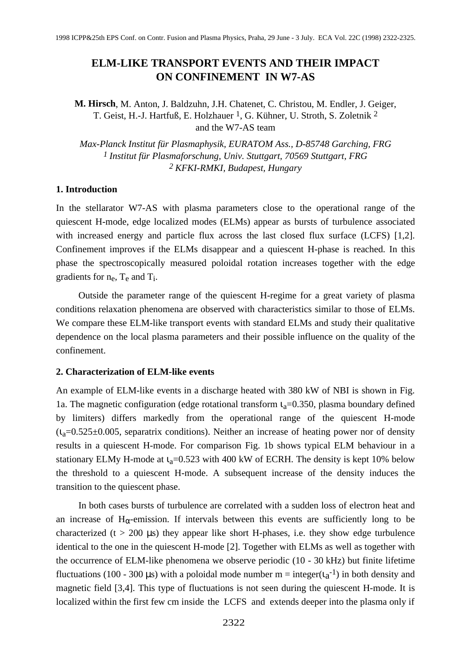# **ELM-LIKE TRANSPORT EVENTS AND THEIR IMPACT ON CONFINEMENT IN W7-AS**

**M. Hirsch**, M. Anton, J. Baldzuhn, J.H. Chatenet, C. Christou, M. Endler, J. Geiger, T. Geist, H.-J. Hartfuß, E. Holzhauer <sup>1</sup>, G. Kühner, U. Stroth, S. Zoletnik <sup>2</sup> and the W7-AS team

*Max-Planck Institut für Plasmaphysik, EURATOM Ass., D-85748 Garching, FRG 1 Institut für Plasmaforschung, Univ. Stuttgart, 70569 Stuttgart, FRG 2 KFKI-RMKI, Budapest, Hungary*

## **1. Introduction**

In the stellarator W7-AS with plasma parameters close to the operational range of the quiescent H-mode, edge localized modes (ELMs) appear as bursts of turbulence associated with increased energy and particle flux across the last closed flux surface (LCFS) [1,2]. Confinement improves if the ELMs disappear and a quiescent H-phase is reached. In this phase the spectroscopically measured poloidal rotation increases together with the edge gradients for  $n_e$ ,  $T_e$  and  $T_i$ .

Outside the parameter range of the quiescent H-regime for a great variety of plasma conditions relaxation phenomena are observed with characteristics similar to those of ELMs. We compare these ELM-like transport events with standard ELMs and study their qualitative dependence on the local plasma parameters and their possible influence on the quality of the confinement.

#### **2. Characterization of ELM-like events**

An example of ELM-like events in a discharge heated with 380 kW of NBI is shown in Fig. 1a. The magnetic configuration (edge rotational transform  $t_a=0.350$ , plasma boundary defined by limiters) differs markedly from the operational range of the quiescent H-mode  $(t_a=0.525\pm0.005$ , separatrix conditions). Neither an increase of heating power nor of density results in a quiescent H-mode. For comparison Fig. 1b shows typical ELM behaviour in a stationary ELMy H-mode at  $t_a=0.523$  with 400 kW of ECRH. The density is kept 10% below the threshold to a quiescent H-mode. A subsequent increase of the density induces the transition to the quiescent phase. **ELM-LIKE TRANSPORT EVENTS AND THEIR MAACT**<br>
ON CONFINEMENT IN W7-AS<br>
M. Hirsch. M. Anton, J. Faltheim, J.H. Channes, C. Christma, M. Fadler, J. Gisge,<br>
T. Gissi, H.J. Harloth, F. Holdense<sup>1</sup>, G. Killone, V. Stelline, S.

In both cases bursts of turbulence are correlated with a sudden loss of electron heat and an increase of  $H_{\alpha}$ -emission. If intervals between this events are sufficiently long to be characterized ( $t > 200 \mu s$ ) they appear like short H-phases, i.e. they show edge turbulence identical to the one in the quiescent H-mode [2]. Together with ELMs as well as together with the occurrence of ELM-like phenomena we observe periodic (10 - 30 kHz) but finite lifetime fluctuations (100 - 300 µs) with a poloidal mode number  $m = integer(i_a^{-1})$  in both density and magnetic field [3,4]. This type of fluctuations is not seen during the quiescent H-mode. It is localized within the first few cm inside the LCFS and extends deeper into the plasma only if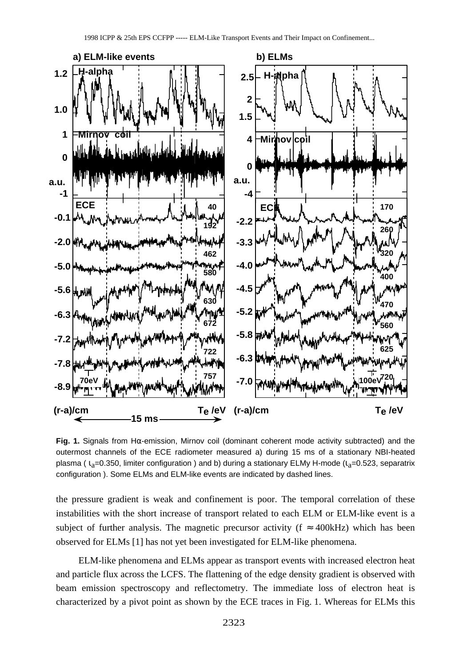

**Fig. 1.** Signals from Hα-emission, Mirnov coil (dominant coherent mode activity subtracted) and the outermost channels of the ECE radiometer measured a) during 15 ms of a stationary NBI-heated plasma ( $t_a$ =0.350, limiter configuration) and b) during a stationary ELMy H-mode ( $t_a$ =0.523, separatrix configuration ). Some ELMs and ELM-like events are indicated by dashed lines.

the pressure gradient is weak and confinement is poor. The temporal correlation of these instabilities with the short increase of transport related to each ELM or ELM-like event is a subject of further analysis. The magnetic precursor activity ( $f \approx 400 \text{kHz}$ ) which has been observed for ELMs [1] has not yet been investigated for ELM-like phenomena.

ELM-like phenomena and ELMs appear as transport events with increased electron heat and particle flux across the LCFS. The flattening of the edge density gradient is observed with beam emission spectroscopy and reflectometry. The immediate loss of electron heat is characterized by a pivot point as shown by the ECE traces in Fig. 1. Whereas for ELMs this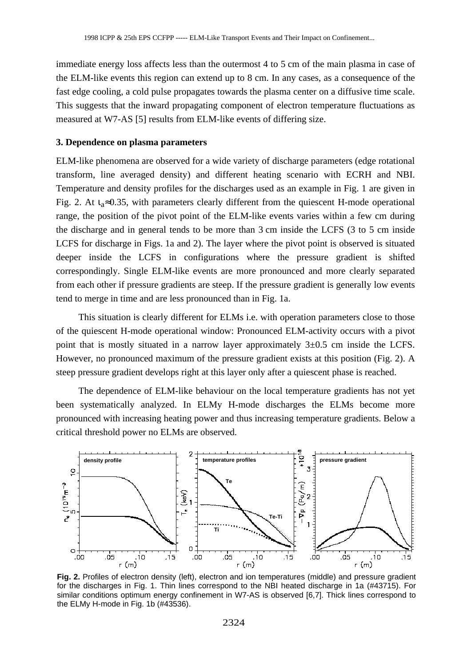immediate energy loss affects less than the outermost 4 to 5 cm of the main plasma in case of the ELM-like events this region can extend up to 8 cm. In any cases, as a consequence of the fast edge cooling, a cold pulse propagates towards the plasma center on a diffusive time scale. This suggests that the inward propagating component of electron temperature fluctuations as measured at W7-AS [5] results from ELM-like events of differing size.

### **3. Dependence on plasma parameters**

ELM-like phenomena are observed for a wide variety of discharge parameters (edge rotational transform, line averaged density) and different heating scenario with ECRH and NBI. Temperature and density profiles for the discharges used as an example in Fig. 1 are given in Fig. 2. At  $t_a \approx 0.35$ , with parameters clearly different from the quiescent H-mode operational range, the position of the pivot point of the ELM-like events varies within a few cm during the discharge and in general tends to be more than 3 cm inside the LCFS (3 to 5 cm inside LCFS for discharge in Figs. 1a and 2). The layer where the pivot point is observed is situated deeper inside the LCFS in configurations where the pressure gradient is shifted correspondingly. Single ELM-like events are more pronounced and more clearly separated from each other if pressure gradients are steep. If the pressure gradient is generally low events tend to merge in time and are less pronounced than in Fig. 1a. immediate energy loss affects less than the outermost 4 to 5 cm of the main plasm<br>the ELM-like events this region can extend up to 8 cm. In any cases, as a consequent<br>fractoge cooling, a cold ratio propagation, two-state

This situation is clearly different for ELMs i.e. with operation parameters close to those of the quiescent H-mode operational window: Pronounced ELM-activity occurs with a pivot point that is mostly situated in a narrow layer approximately 3±0.5 cm inside the LCFS. However, no pronounced maximum of the pressure gradient exists at this position (Fig. 2). A steep pressure gradient develops right at this layer only after a quiescent phase is reached.

The dependence of ELM-like behaviour on the local temperature gradients has not yet been systematically analyzed. In ELMy H-mode discharges the ELMs become more pronounced with increasing heating power and thus increasing temperature gradients. Below a critical threshold power no ELMs are observed.



for the discharges in Fig. 1. Thin lines correspond to the NBI heated discharge in 1a (#43715). For similar conditions optimum energy confinement in W7-AS is observed [6,7]. Thick lines correspond to the ELMy H-mode in Fig. 1b (#43536).